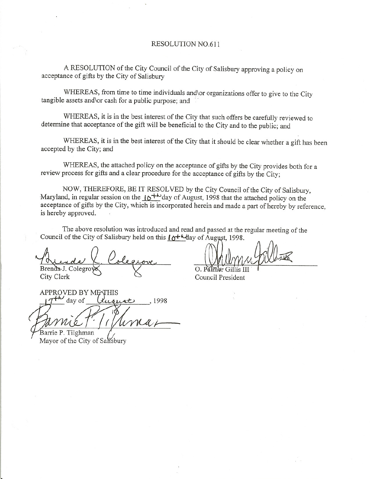## RESOLUTION NO.611

A RESOLUTION of the City Council of the City of Salisbury approving a policy on acceptance of gifts by the City of Salisbury

WHEREAS, from time to time individuals and\or organizations offer to give to the City tangible assets and\or cash for a public purpose; and

WHEREAS, it is in the best interest of the City that such offers be carefully reviewed to determine that acceptance of the gift will be beneficial to the City and to the public; and

WHEREAS, it is in the best interest of the City that it should be clear whether a gift has been accepted by the City; and

WHEREAS, the attached policy on the acceptance of gifts by the City provides both for a review process for gifts and a clear procedure for the acceptance of gifts by the City;

NOW, THEREFORE, BE IT RESOLVED by the City Council of the City of Salisbury, Maryland, in regular session on the  $10^{+\text{L}}$ day of August, 1998 that the attached policy on the  $M$ aryland, in regular session on the  $16<sup>12</sup>$  day of August, 1998 that the attached policy on the acceptance of gifts by the City, which is incorporated herein and made a part of hereby by reference, is hereby approved.

The above resolution was introduced and read and passed at the regular meeting of the Council of the City of Salisbury held on this  $\int \theta^{+k}$  day of August, 1998.

Brenda-J. Colegro City Clerk

**APPROVED BY MENTHIS** day of *Cusust*, 1998

Barrie P. Tilghman Mayor of the City of Salisbury

 $\gamma$ 

 $\Omega$ Council President